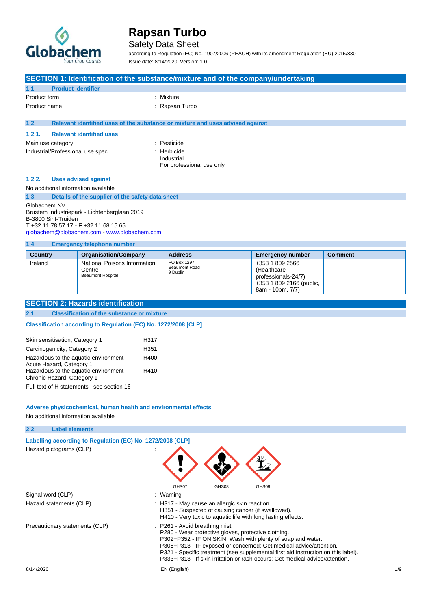

### Safety Data Sheet

according to Regulation (EC) No. 1907/2006 (REACH) with its amendment Regulation (EU) 2015/830 Issue date: 8/14/2020 Version: 1.0

**SECTION 1: Identification of the substance/mixture and of the company/undertaking 1.1. Product identifier** Product form : Nixture : Mixture Product name  $\qquad \qquad$ : Rapsan Turbo **1.2. Relevant identified uses of the substance or mixture and uses advised against 1.2.1. Relevant identified uses** Main use category **in the set of the set of the set of the set of the set of the set of the set of the set of the set of the set of the set of the set of the set of the set of the set of the set of the set of the set of th** Industrial/Professional use spec : Herbicide : Industrial For professional use only **1.2.2. Uses advised against** No additional information available **1.3. Details of the supplier of the safety data sheet** Globachem NV Brustem Industriepark - Lichtenberglaan 2019 B-3800 Sint-Truiden T +32 11 78 57 17 - F +32 11 68 15 65 [globachem@globachem.com](mailto:globachem@globachem.com) - <www.globachem.com> **1.4. Emergency telephone number**

| ------         |                                                                    |                                                 |                                                                                                       |                |
|----------------|--------------------------------------------------------------------|-------------------------------------------------|-------------------------------------------------------------------------------------------------------|----------------|
| <b>Country</b> | <b>Organisation/Company</b>                                        | <b>Address</b>                                  | <b>Emergency number</b>                                                                               | <b>Comment</b> |
| Ireland        | National Poisons Information<br>Centre<br><b>Beaumont Hospital</b> | PO Box 1297<br><b>Beaumont Road</b><br>9 Dublin | +353 1 809 2566<br>(Healthcare<br>professionals-24/7)<br>+353 1 809 2166 (public,<br>8am - 10pm, 7/7) |                |

### **SECTION 2: Hazards identification**

#### **2.1. Classification of the substance or mixture**

**Classification according to Regulation (EC) No. 1272/2008 [CLP]** 

| Skin sensitisation, Category 1                                       | H317 |
|----------------------------------------------------------------------|------|
| Carcinogenicity, Category 2                                          | H351 |
| Hazardous to the aquatic environment -<br>Acute Hazard, Category 1   | H400 |
| Hazardous to the aquatic environment -<br>Chronic Hazard, Category 1 | H410 |
| Full text of H statements : see section 16                           |      |

## **Adverse physicochemical, human health and environmental effects**

No additional information available

**2.2. Label elements**

| $\mathcal{L} \cdot \mathcal{L}$ . | <u> Lauti Githighis</u>                                    |                                                                                                                                                                                                                                                                                                                                                                                                 |         |
|-----------------------------------|------------------------------------------------------------|-------------------------------------------------------------------------------------------------------------------------------------------------------------------------------------------------------------------------------------------------------------------------------------------------------------------------------------------------------------------------------------------------|---------|
|                                   | Labelling according to Regulation (EC) No. 1272/2008 [CLP] |                                                                                                                                                                                                                                                                                                                                                                                                 |         |
|                                   | Hazard pictograms (CLP)                                    | GHS07<br>GHS08<br>GHS09                                                                                                                                                                                                                                                                                                                                                                         |         |
|                                   | Signal word (CLP)                                          | : Warning                                                                                                                                                                                                                                                                                                                                                                                       |         |
|                                   | Hazard statements (CLP)                                    | : H317 - May cause an allergic skin reaction.<br>H351 - Suspected of causing cancer (if swallowed).<br>H410 - Very toxic to aquatic life with long lasting effects.                                                                                                                                                                                                                             |         |
|                                   | Precautionary statements (CLP)                             | : P261 - Avoid breathing mist.<br>P280 - Wear protective gloves, protective clothing.<br>P302+P352 - IF ON SKIN: Wash with plenty of soap and water.<br>P308+P313 - IF exposed or concerned: Get medical advice/attention.<br>P321 - Specific treatment (see supplemental first aid instruction on this label).<br>P333+P313 - If skin irritation or rash occurs: Get medical advice/attention. |         |
| 8/14/2020                         |                                                            | EN (English)                                                                                                                                                                                                                                                                                                                                                                                    | $1/\xi$ |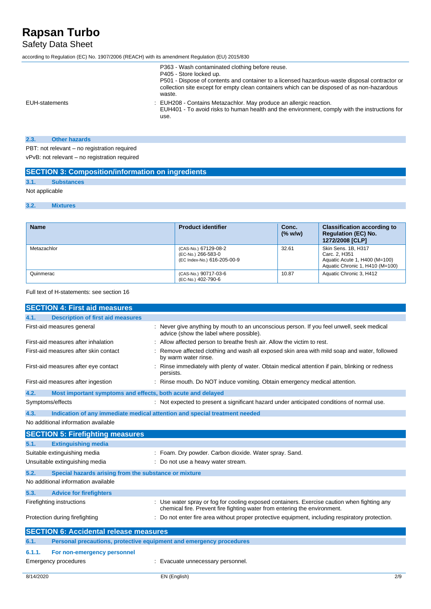## Safety Data Sheet

according to Regulation (EC) No. 1907/2006 (REACH) with its amendment Regulation (EU) 2015/830

Quinmerac (CAS-No.) 90717-03-6

|                | P363 - Wash contaminated clothing before reuse.<br>P405 - Store locked up.<br>P501 - Dispose of contents and container to a licensed hazardous-waste disposal contractor or<br>collection site except for empty clean containers which can be disposed of as non-hazardous<br>waste. |
|----------------|--------------------------------------------------------------------------------------------------------------------------------------------------------------------------------------------------------------------------------------------------------------------------------------|
| EUH-statements | : EUH208 - Contains Metazachlor. May produce an allergic reaction.<br>EUH401 - To avoid risks to human health and the environment, comply with the instructions for<br>use.                                                                                                          |

### **2.3. Other hazards**

**SECTION 3: Composition/information on ingredients**

PBT: not relevant – no registration required vPvB: not relevant – no registration required

|                | <b>SECTION 3: COMPOSITION/INTO/MATION ON INGREGIENTS</b> |                           |                  |                                                                                     |
|----------------|----------------------------------------------------------|---------------------------|------------------|-------------------------------------------------------------------------------------|
| 3.1.           | <b>Substances</b>                                        |                           |                  |                                                                                     |
| Not applicable |                                                          |                           |                  |                                                                                     |
| 3.2.           | <b>Mixtures</b>                                          |                           |                  |                                                                                     |
| <b>Name</b>    |                                                          | <b>Product identifier</b> | Conc.<br>(% w/w) | <b>Classification according to</b><br><b>Regulation (EC) No.</b><br>1272/2008 [CLP] |
| Metazachlor    |                                                          | (CAS-No.) 67129-08-2      | 32.61            | Skin Sens. 1B, H317                                                                 |

(EC-No.) 266-583-0 (EC Index-No.) 616-205-00-9

(EC-No.) 402-790-6

| Full text of H-statements: see section 16 |  |
|-------------------------------------------|--|

| <b>SECTION 4: First aid measures</b>                                        |                                                                                                                                                                        |
|-----------------------------------------------------------------------------|------------------------------------------------------------------------------------------------------------------------------------------------------------------------|
| <b>Description of first aid measures</b><br>4.1.                            |                                                                                                                                                                        |
| First-aid measures general                                                  | Never give anything by mouth to an unconscious person. If you feel unwell, seek medical<br>advice (show the label where possible).                                     |
| First-aid measures after inhalation                                         | : Allow affected person to breathe fresh air. Allow the victim to rest.                                                                                                |
| First-aid measures after skin contact                                       | Remove affected clothing and wash all exposed skin area with mild soap and water, followed<br>by warm water rinse.                                                     |
| First-aid measures after eye contact                                        | Rinse immediately with plenty of water. Obtain medical attention if pain, blinking or redness<br>persists.                                                             |
| First-aid measures after ingestion                                          | : Rinse mouth. Do NOT induce vomiting. Obtain emergency medical attention.                                                                                             |
| 4.2.<br>Most important symptoms and effects, both acute and delayed         |                                                                                                                                                                        |
| Symptoms/effects                                                            | : Not expected to present a significant hazard under anticipated conditions of normal use.                                                                             |
| 4.3.                                                                        | Indication of any immediate medical attention and special treatment needed                                                                                             |
| No additional information available                                         |                                                                                                                                                                        |
| <b>SECTION 5: Firefighting measures</b>                                     |                                                                                                                                                                        |
|                                                                             |                                                                                                                                                                        |
| <b>Extinguishing media</b><br>5.1.                                          |                                                                                                                                                                        |
| Suitable extinguishing media                                                | : Foam. Dry powder. Carbon dioxide. Water spray. Sand.                                                                                                                 |
| Unsuitable extinguishing media                                              | : Do not use a heavy water stream.                                                                                                                                     |
| 5.2.<br>Special hazards arising from the substance or mixture               |                                                                                                                                                                        |
| No additional information available                                         |                                                                                                                                                                        |
| 5.3.<br><b>Advice for firefighters</b>                                      |                                                                                                                                                                        |
| Firefighting instructions                                                   | Use water spray or fog for cooling exposed containers. Exercise caution when fighting any<br>chemical fire. Prevent fire fighting water from entering the environment. |
| Protection during firefighting                                              | Do not enter fire area without proper protective equipment, including respiratory protection.                                                                          |
| <b>SECTION 6: Accidental release measures</b>                               |                                                                                                                                                                        |
| 6.1.<br>Personal precautions, protective equipment and emergency procedures |                                                                                                                                                                        |
| 6.1.1.<br>For non-emergency personnel                                       |                                                                                                                                                                        |

Carc. 2, H351

10.87 | Aquatic Chronic 3, H412

Aquatic Acute 1, H400 (M=100) Aquatic Chronic 1, H410 (M=100)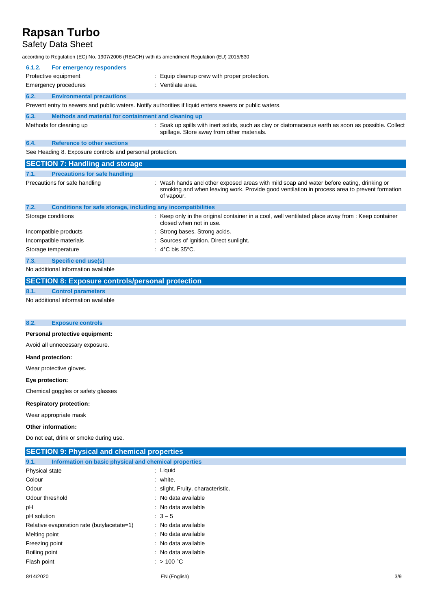## Safety Data Sheet

according to Regulation (EC) No. 1907/2006 (REACH) with its amendment Regulation (EU) 2015/830

|        | according to Regulation (EC) No. 1907/2006 (REACH) with its amendment Regulation (EU) 2015/830. |                                                                                                                                                                                                      |
|--------|-------------------------------------------------------------------------------------------------|------------------------------------------------------------------------------------------------------------------------------------------------------------------------------------------------------|
| 6.1.2. | For emergency responders                                                                        |                                                                                                                                                                                                      |
|        | Protective equipment                                                                            | Equip cleanup crew with proper protection.                                                                                                                                                           |
|        | <b>Emergency procedures</b>                                                                     | : Ventilate area.                                                                                                                                                                                    |
| 6.2.   | <b>Environmental precautions</b>                                                                |                                                                                                                                                                                                      |
|        |                                                                                                 | Prevent entry to sewers and public waters. Notify authorities if liquid enters sewers or public waters.                                                                                              |
| 6.3.   | Methods and material for containment and cleaning up                                            |                                                                                                                                                                                                      |
|        | Methods for cleaning up                                                                         | : Soak up spills with inert solids, such as clay or diatomaceous earth as soon as possible. Collect<br>spillage. Store away from other materials.                                                    |
| 6.4.   | <b>Reference to other sections</b>                                                              |                                                                                                                                                                                                      |
|        | See Heading 8. Exposure controls and personal protection.                                       |                                                                                                                                                                                                      |
|        | <b>SECTION 7: Handling and storage</b>                                                          |                                                                                                                                                                                                      |
| 7.1.   | <b>Precautions for safe handling</b>                                                            |                                                                                                                                                                                                      |
|        | Precautions for safe handling                                                                   | Wash hands and other exposed areas with mild soap and water before eating, drinking or<br>smoking and when leaving work. Provide good ventilation in process area to prevent formation<br>of vapour. |
| 7.2.   | Conditions for safe storage, including any incompatibilities                                    |                                                                                                                                                                                                      |
|        | Storage conditions                                                                              | Keep only in the original container in a cool, well ventilated place away from : Keep container<br>closed when not in use.                                                                           |
|        | Incompatible products                                                                           | Strong bases. Strong acids.                                                                                                                                                                          |
|        | Incompatible materials                                                                          | Sources of ignition. Direct sunlight.                                                                                                                                                                |
|        | Storage temperature                                                                             | $\therefore$ 4°C bis 35°C.                                                                                                                                                                           |
| 7.3.   | <b>Specific end use(s)</b>                                                                      |                                                                                                                                                                                                      |
|        |                                                                                                 |                                                                                                                                                                                                      |

No additional information available

|      | <b>SECTION 8: Exposure controls/personal protection</b> |
|------|---------------------------------------------------------|
| 8.1. | <b>Control parameters</b>                               |
|      | No additional information available                     |

#### **8.2. Exposure controls**

### **Personal protective equipment:**

Avoid all unnecessary exposure.

#### **Hand protection:**

Wear protective gloves.

### **Eye protection:**

Chemical goggles or safety glasses

### **Respiratory protection:**

Wear appropriate mask

#### **Other information:**

Do not eat, drink or smoke during use.

| <b>SECTION 9: Physical and chemical properties</b>            |                                   |  |
|---------------------------------------------------------------|-----------------------------------|--|
| Information on basic physical and chemical properties<br>9.1. |                                   |  |
| Physical state                                                | $:$ Liquid                        |  |
| Colour                                                        | : white.                          |  |
| Odour                                                         | : slight. Fruity. characteristic. |  |
| Odour threshold                                               | : No data available               |  |
| рH                                                            | : No data available               |  |
| pH solution                                                   | $\therefore$ 3 – 5                |  |
| Relative evaporation rate (butylacetate=1)                    | : No data available               |  |
| Melting point                                                 | : No data available               |  |
| Freezing point                                                | : No data available               |  |
| Boiling point                                                 | : No data available               |  |
| Flash point                                                   | : $>100^{\circ}$ C                |  |
|                                                               |                                   |  |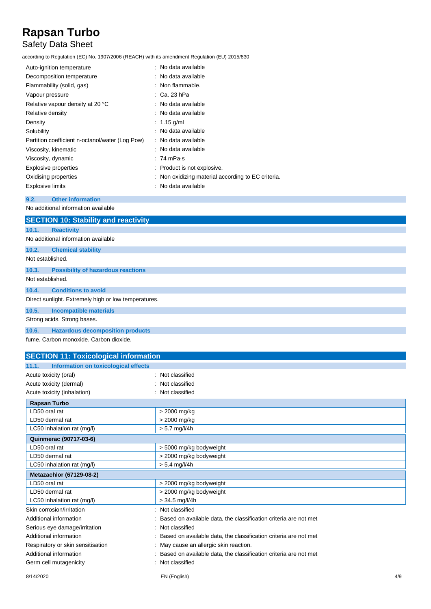## Safety Data Sheet

according to Regulation (EC) No. 1907/2006 (REACH) with its amendment Regulation (EU) 2015/830

| Auto-ignition temperature                       | : No data available                                |
|-------------------------------------------------|----------------------------------------------------|
| Decomposition temperature                       | $\therefore$ No data available                     |
| Flammability (solid, gas)                       | $:$ Non flammable.                                 |
| Vapour pressure                                 | $\therefore$ Ca. 23 hPa                            |
| Relative vapour density at 20 °C                | $\therefore$ No data available                     |
| Relative density                                | : No data available                                |
| Density                                         | $: 1.15$ g/ml                                      |
| Solubility                                      | $\therefore$ No data available                     |
| Partition coefficient n-octanol/water (Log Pow) | : No data available                                |
| Viscosity, kinematic                            | : No data available                                |
| Viscosity, dynamic                              | : 74 mPa s                                         |
| Explosive properties                            | : Product is not explosive.                        |
| Oxidising properties                            | : Non oxidizing material according to EC criteria. |
| <b>Explosive limits</b>                         | : No data available                                |

### **9.2. Other information**

No additional information available

|                                                      | <b>SECTION 10: Stability and reactivity</b> |  |
|------------------------------------------------------|---------------------------------------------|--|
| 10.1.                                                | <b>Reactivity</b>                           |  |
|                                                      | No additional information available         |  |
| 10.2.                                                | <b>Chemical stability</b>                   |  |
| Not established.                                     |                                             |  |
| 10.3.                                                | <b>Possibility of hazardous reactions</b>   |  |
| Not established.                                     |                                             |  |
| 10.4.                                                | <b>Conditions to avoid</b>                  |  |
| Direct sunlight. Extremely high or low temperatures. |                                             |  |
| 10.5.                                                | <b>Incompatible materials</b>               |  |
|                                                      | Strong acids. Strong bases.                 |  |
| 10.6.                                                | <b>Hazardous decomposition products</b>     |  |
|                                                      | fume. Carbon monoxide. Carbon dioxide.      |  |

| <b>SECTION 11: Toxicological information</b>  |                                                                  |
|-----------------------------------------------|------------------------------------------------------------------|
| Information on toxicological effects<br>11.1. |                                                                  |
| Acute toxicity (oral)                         | Not classified                                                   |
| Acute toxicity (dermal)                       | Not classified                                                   |
| Acute toxicity (inhalation)                   | Not classified                                                   |
| <b>Rapsan Turbo</b>                           |                                                                  |
| LD50 oral rat                                 | > 2000 mg/kg                                                     |
| LD50 dermal rat                               | > 2000 mg/kg                                                     |
| LC50 inhalation rat (mg/l)                    | $> 5.7$ mg/l/4h                                                  |
| Quinmerac (90717-03-6)                        |                                                                  |
| LD50 oral rat                                 | > 5000 mg/kg bodyweight                                          |
| LD50 dermal rat                               | > 2000 mg/kg bodyweight                                          |
| LC50 inhalation rat (mg/l)                    | $> 5.4$ mg/l/4h                                                  |
| Metazachlor (67129-08-2)                      |                                                                  |
| LD50 oral rat                                 | > 2000 mg/kg bodyweight                                          |
| LD50 dermal rat                               | > 2000 mg/kg bodyweight                                          |
| LC50 inhalation rat (mg/l)                    | $> 34.5$ mg/l/4h                                                 |
| Skin corrosion/irritation                     | Not classified                                                   |
| Additional information                        | Based on available data, the classification criteria are not met |
| Serious eye damage/irritation                 | Not classified                                                   |
| Additional information                        | Based on available data, the classification criteria are not met |
| Respiratory or skin sensitisation             | May cause an allergic skin reaction.                             |
| Additional information                        | Based on available data, the classification criteria are not met |
| Germ cell mutagenicity                        | Not classified                                                   |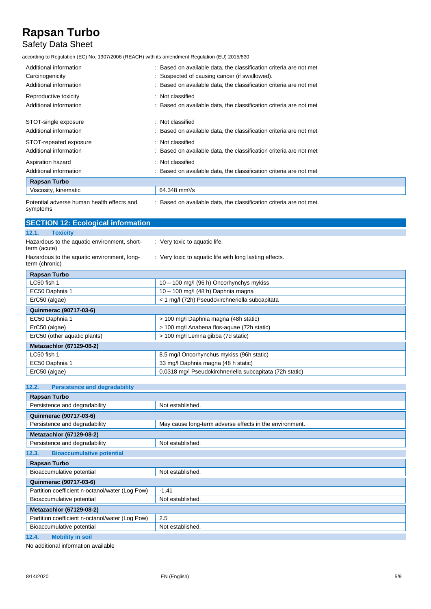## Safety Data Sheet

according to Regulation (EC) No. 1907/2006 (REACH) with its amendment Regulation (EU) 2015/830

| Additional information                     | : Based on available data, the classification criteria are not met |
|--------------------------------------------|--------------------------------------------------------------------|
| Carcinogenicity                            | : Suspected of causing cancer (if swallowed).                      |
| Additional information                     | : Based on available data, the classification criteria are not met |
| Reproductive toxicity                      | : Not classified                                                   |
| Additional information                     | : Based on available data, the classification criteria are not met |
| STOT-single exposure                       | : Not classified                                                   |
| Additional information                     | : Based on available data, the classification criteria are not met |
| STOT-repeated exposure                     | : Not classified                                                   |
| Additional information                     | Based on available data, the classification criteria are not met   |
| Aspiration hazard                          | : Not classified                                                   |
| Additional information                     | : Based on available data, the classification criteria are not met |
| <b>Rapsan Turbo</b>                        |                                                                    |
| Viscosity, kinematic                       | 64.348 mm <sup>2</sup> /s                                          |
| Detential advarge buman boolth effects and | . Beend on ovailable data the eleccification exiteria are not mot  |

| Potential adverse human health effects and |  |
|--------------------------------------------|--|
| symptoms                                   |  |

: Based on available data, the classification criteria are not met.

| : Very toxic to aquatic life.                            |
|----------------------------------------------------------|
| : Very toxic to aquatic life with long lasting effects.  |
|                                                          |
| $10 - 100$ mg/l (96 h) Oncorhynchys mykiss               |
| $10 - 100$ mg/l (48 h) Daphnia magna                     |
| < 1 mg/l (72h) Pseudokirchneriella subcapitata           |
|                                                          |
| > 100 mg/l Daphnia magna (48h static)                    |
| > 100 mg/l Anabena flos-aquae (72h static)               |
| > 100 mg/l Lemna gibba (7d static)                       |
|                                                          |
| 8.5 mg/l Oncorhynchus mykiss (96h static)                |
| 33 mg/l Daphnia magna (48 h static)                      |
| 0.0318 mg/l Pseudokirchneriella subcapitata (72h static) |
|                                                          |

| <b>Persistence and degradability</b><br>12.2. |  |
|-----------------------------------------------|--|
|-----------------------------------------------|--|

| <b>Rapsan Turbo</b>                             |                                                         |
|-------------------------------------------------|---------------------------------------------------------|
| Persistence and degradability                   | Not established.                                        |
| Quinmerac (90717-03-6)                          |                                                         |
| Persistence and degradability                   | May cause long-term adverse effects in the environment. |
| <b>Metazachlor (67129-08-2)</b>                 |                                                         |
| Persistence and degradability                   | Not established.                                        |
| <b>Bioaccumulative potential</b><br>12.3.       |                                                         |
| <b>Rapsan Turbo</b>                             |                                                         |
| Bioaccumulative potential                       | Not established.                                        |
| Quinmerac (90717-03-6)                          |                                                         |
| Partition coefficient n-octanol/water (Log Pow) | $-1.41$                                                 |
| Bioaccumulative potential                       | Not established.                                        |
| <b>Metazachlor (67129-08-2)</b>                 |                                                         |
| Partition coefficient n-octanol/water (Log Pow) | 2.5                                                     |
| Bioaccumulative potential                       | Not established.                                        |
| 12.4.<br><b>Mobility in soil</b>                |                                                         |

No additional information available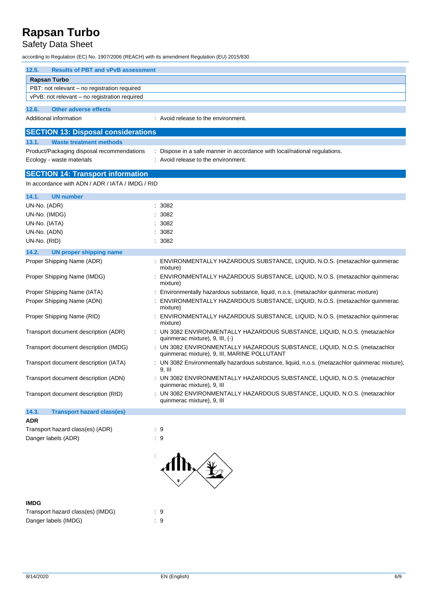## Safety Data Sheet

according to Regulation (EC) No. 1907/2006 (REACH) with its amendment Regulation (EU) 2015/830

| 12.5.<br><b>Results of PBT and vPvB assessment</b> |                                                                                                                            |
|----------------------------------------------------|----------------------------------------------------------------------------------------------------------------------------|
| <b>Rapsan Turbo</b>                                |                                                                                                                            |
| PBT: not relevant - no registration required       |                                                                                                                            |
| vPvB: not relevant – no registration required      |                                                                                                                            |
| 12.6.<br><b>Other adverse effects</b>              |                                                                                                                            |
| Additional information                             | : Avoid release to the environment.                                                                                        |
|                                                    |                                                                                                                            |
| <b>SECTION 13: Disposal considerations</b>         |                                                                                                                            |
| 13.1.<br><b>Waste treatment methods</b>            |                                                                                                                            |
| Product/Packaging disposal recommendations         | : Dispose in a safe manner in accordance with local/national regulations.<br>: Avoid release to the environment.           |
| Ecology - waste materials                          |                                                                                                                            |
| <b>SECTION 14: Transport information</b>           |                                                                                                                            |
| In accordance with ADN / ADR / IATA / IMDG / RID   |                                                                                                                            |
| 14.1.<br><b>UN number</b>                          |                                                                                                                            |
| UN-No. (ADR)                                       | : 3082                                                                                                                     |
| UN-No. (IMDG)                                      | : 3082                                                                                                                     |
| UN-No. (IATA)                                      | : 3082                                                                                                                     |
| UN-No. (ADN)                                       | : 3082                                                                                                                     |
| UN-No. (RID)                                       | : 3082                                                                                                                     |
| 14.2.<br><b>UN proper shipping name</b>            |                                                                                                                            |
| Proper Shipping Name (ADR)                         | : ENVIRONMENTALLY HAZARDOUS SUBSTANCE, LIQUID, N.O.S. (metazachlor quinmerac                                               |
|                                                    | mixture)                                                                                                                   |
| Proper Shipping Name (IMDG)                        | : ENVIRONMENTALLY HAZARDOUS SUBSTANCE, LIQUID, N.O.S. (metazachlor quinmerac<br>mixture)                                   |
| Proper Shipping Name (IATA)                        | : Environmentally hazardous substance, liquid, n.o.s. (metazachlor quinmerac mixture)                                      |
| Proper Shipping Name (ADN)                         | ENVIRONMENTALLY HAZARDOUS SUBSTANCE, LIQUID, N.O.S. (metazachlor quinmerac<br>mixture)                                     |
| Proper Shipping Name (RID)                         | : ENVIRONMENTALLY HAZARDOUS SUBSTANCE, LIQUID, N.O.S. (metazachlor quinmerac<br>mixture)                                   |
| Transport document description (ADR)               | : UN 3082 ENVIRONMENTALLY HAZARDOUS SUBSTANCE, LIQUID, N.O.S. (metazachlor<br>quinmerac mixture), 9, III, (-)              |
| Transport document description (IMDG)              | : UN 3082 ENVIRONMENTALLY HAZARDOUS SUBSTANCE, LIQUID, N.O.S. (metazachlor<br>quinmerac mixture), 9, III, MARINE POLLUTANT |
| Transport document description (IATA)              | : UN 3082 Environmentally hazardous substance, liquid, n.o.s. (metazachlor quinmerac mixture),<br>9. III                   |
| Transport document description (ADN)               | : UN 3082 ENVIRONMENTALLY HAZARDOUS SUBSTANCE, LIQUID, N.O.S. (metazachlor<br>quinmerac mixture), 9, III                   |
| Transport document description (RID)               | : UN 3082 ENVIRONMENTALLY HAZARDOUS SUBSTANCE, LIQUID, N.O.S. (metazachlor<br>quinmerac mixture), 9, III                   |
| 14.3.<br><b>Transport hazard class(es)</b>         |                                                                                                                            |
| <b>ADR</b>                                         |                                                                                                                            |
| Transport hazard class(es) (ADR)                   | $\cdot$ 9                                                                                                                  |
| Danger labels (ADR)                                | $\cdot$ 9                                                                                                                  |



| <b>IMDG</b>                       |    |
|-----------------------------------|----|
| Transport hazard class(es) (IMDG) | -9 |
| Danger labels (IMDG)              | -9 |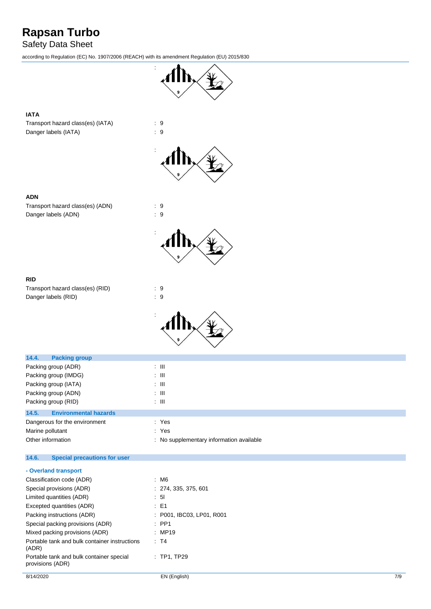## Safety Data Sheet

according to Regulation (EC) No. 1907/2006 (REACH) with its amendment Regulation (EU) 2015/830



### **IATA**

Transport hazard class(es) (IATA) : 9 Danger labels (IATA) : 9



:

:





Transport hazard class(es) (ADN) : 9 Danger labels (ADN)  $\qquad \qquad$  : 9



| Transport hazard class(es) (RID) | . 9 |  |
|----------------------------------|-----|--|
| Danger labels (RID)              | . 9 |  |



| 14.4.<br><b>Packing group</b>         |                                          |
|---------------------------------------|------------------------------------------|
| Packing group (ADR)                   | : III                                    |
| Packing group (IMDG)                  | ÷ III                                    |
| Packing group (IATA)                  | ÷ III                                    |
| Packing group (ADN)                   | : III                                    |
| Packing group (RID)                   | : III                                    |
| <b>Environmental hazards</b><br>14.5. |                                          |
| Dangerous for the environment         | : Yes                                    |
| Marine pollutant                      | : Yes                                    |
| Other information                     | : No supplementary information available |
|                                       |                                          |

#### $14.6.$ **14.6. Special precautions for user**

| - Overland transport                                         |                           |  |
|--------------------------------------------------------------|---------------------------|--|
| Classification code (ADR)                                    | : M6                      |  |
| Special provisions (ADR)                                     | : 274, 335, 375, 601      |  |
| Limited quantities (ADR)                                     | : 51                      |  |
| Excepted quantities (ADR)                                    | : E1                      |  |
| Packing instructions (ADR)                                   | : P001. IBC03. LP01. R001 |  |
| Special packing provisions (ADR)                             | $\therefore$ PP1          |  |
| Mixed packing provisions (ADR)                               | : MP19                    |  |
| Portable tank and bulk container instructions<br>(ADR)       | : T4                      |  |
| Portable tank and bulk container special<br>provisions (ADR) | $\therefore$ TP1. TP29    |  |
|                                                              |                           |  |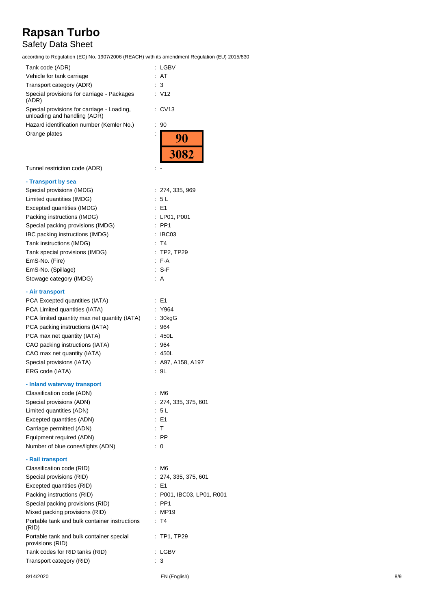## Safety Data Sheet

according to Regulation (EC) No. 1907/2006 (REACH) with its amendment Regulation (EU) 2015/830

| Tank code (ADR)                                                            | : LGBV                  |
|----------------------------------------------------------------------------|-------------------------|
| Vehicle for tank carriage                                                  | AT                      |
| Transport category (ADR)                                                   | 3                       |
| Special provisions for carriage - Packages<br>(ADR)                        | : V12                   |
| Special provisions for carriage - Loading,<br>unloading and handling (ADR) | CV <sub>13</sub>        |
| Hazard identification number (Kemler No.)                                  | 90<br>÷                 |
| Orange plates                                                              | <u>90</u>               |
|                                                                            |                         |
|                                                                            | 3082                    |
| Tunnel restriction code (ADR)                                              |                         |
| - Transport by sea                                                         |                         |
| Special provisions (IMDG)                                                  | : 274, 335, 969         |
| Limited quantities (IMDG)                                                  | : 5 L                   |
| Excepted quantities (IMDG)                                                 | E1                      |
| Packing instructions (IMDG)                                                | LP01, P001              |
| Special packing provisions (IMDG)                                          | PP <sub>1</sub>         |
| IBC packing instructions (IMDG)                                            | IBC03                   |
| Tank instructions (IMDG)                                                   | T4                      |
| Tank special provisions (IMDG)                                             | TP2, TP29               |
| EmS-No. (Fire)                                                             | F-A                     |
| EmS-No. (Spillage)                                                         | -S-F                    |
| Stowage category (IMDG)                                                    | A                       |
|                                                                            |                         |
| - Air transport                                                            | E1                      |
| PCA Excepted quantities (IATA)                                             |                         |
| PCA Limited quantities (IATA)                                              | Y964                    |
| PCA limited quantity max net quantity (IATA)                               | 30kgG                   |
| PCA packing instructions (IATA)                                            | 964                     |
| PCA max net quantity (IATA)                                                | 450L                    |
| CAO packing instructions (IATA)                                            | 964                     |
| CAO max net quantity (IATA)                                                | : 450L                  |
| Special provisions (IATA)                                                  | A97, A158, A197         |
| ERG code (IATA)                                                            | 9L                      |
| - Inland waterway transport                                                |                         |
| Classification code (ADN)                                                  | : M6                    |
| Special provisions (ADN)                                                   | 274, 335, 375, 601      |
| Limited quantities (ADN)                                                   | -5 L                    |
| Excepted quantities (ADN)                                                  | E1                      |
| Carriage permitted (ADN)                                                   | : T                     |
| Equipment required (ADN)                                                   | $:$ PP                  |
| Number of blue cones/lights (ADN)                                          | 0<br>t.                 |
| - Rail transport                                                           |                         |
| Classification code (RID)                                                  | : M6                    |
| Special provisions (RID)                                                   | 274, 335, 375, 601      |
| Excepted quantities (RID)                                                  | $\therefore$ E1         |
| Packing instructions (RID)                                                 | P001, IBC03, LP01, R001 |
| Special packing provisions (RID)                                           | PP1                     |
| Mixed packing provisions (RID)                                             | MP19                    |
| Portable tank and bulk container instructions                              | : T4                    |
| (RID)                                                                      |                         |
| Portable tank and bulk container special<br>provisions (RID)               | TP1, TP29               |
| Tank codes for RID tanks (RID)                                             | : LGBV                  |
| Transport category (RID)                                                   | 3<br>÷.                 |
|                                                                            |                         |